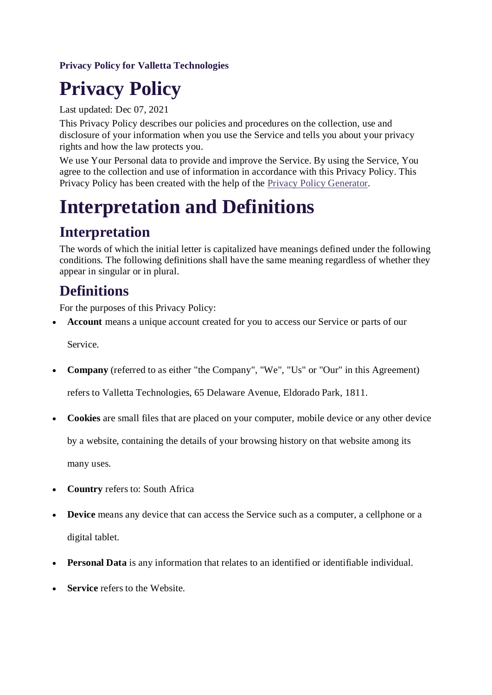#### **Privacy Policy for Valletta Technologies**

# **Privacy Policy**

Last updated: Dec 07, 2021

This Privacy Policy describes our policies and procedures on the collection, use and disclosure of your information when you use the Service and tells you about your privacy rights and how the law protects you.

We use Your Personal data to provide and improve the Service. By using the Service, You agree to the collection and use of information in accordance with this Privacy Policy. This Privacy Policy has been created with the help of the [Privacy Policy Generator.](https://www.freeprivacypolicy.com/free-privacy-policy-generator/)

# **Interpretation and Definitions**

## **Interpretation**

The words of which the initial letter is capitalized have meanings defined under the following conditions. The following definitions shall have the same meaning regardless of whether they appear in singular or in plural.

## **Definitions**

For the purposes of this Privacy Policy:

**Account** means a unique account created for you to access our Service or parts of our

Service.

**Company** (referred to as either "the Company", "We", "Us" or "Our" in this Agreement)

refers to Valletta Technologies, 65 Delaware Avenue, Eldorado Park, 1811.

**Cookies** are small files that are placed on your computer, mobile device or any other device

by a website, containing the details of your browsing history on that website among its

many uses.

- **Country** refers to: South Africa
- **Device** means any device that can access the Service such as a computer, a cellphone or a digital tablet.
- **Personal Data** is any information that relates to an identified or identifiable individual.
- **Service** refers to the Website.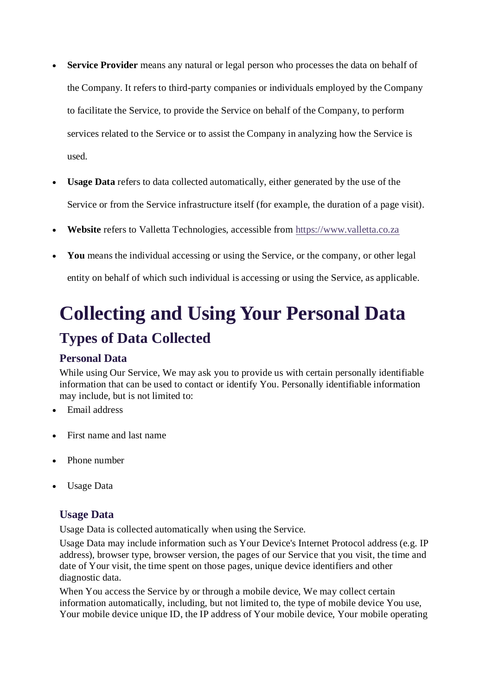- **Service Provider** means any natural or legal person who processes the data on behalf of the Company. It refers to third-party companies or individuals employed by the Company to facilitate the Service, to provide the Service on behalf of the Company, to perform services related to the Service or to assist the Company in analyzing how the Service is used.
- **Usage Data** refers to data collected automatically, either generated by the use of the Service or from the Service infrastructure itself (for example, the duration of a page visit).
- **Website** refers to Valletta Technologies, accessible from [https://www.valletta.co.za](https://www.valletta.co.za/)
- **You** means the individual accessing or using the Service, or the company, or other legal entity on behalf of which such individual is accessing or using the Service, as applicable.

## **Collecting and Using Your Personal Data Types of Data Collected**

#### **Personal Data**

While using Our Service, We may ask you to provide us with certain personally identifiable information that can be used to contact or identify You. Personally identifiable information may include, but is not limited to:

- Email address
- First name and last name
- Phone number
- Usage Data

#### **Usage Data**

Usage Data is collected automatically when using the Service.

Usage Data may include information such as Your Device's Internet Protocol address (e.g. IP address), browser type, browser version, the pages of our Service that you visit, the time and date of Your visit, the time spent on those pages, unique device identifiers and other diagnostic data.

When You access the Service by or through a mobile device, We may collect certain information automatically, including, but not limited to, the type of mobile device You use, Your mobile device unique ID, the IP address of Your mobile device, Your mobile operating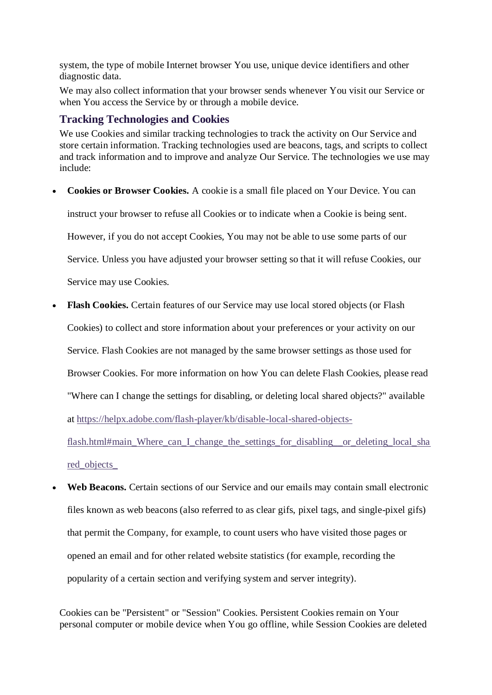system, the type of mobile Internet browser You use, unique device identifiers and other diagnostic data.

We may also collect information that your browser sends whenever You visit our Service or when You access the Service by or through a mobile device.

#### **Tracking Technologies and Cookies**

We use Cookies and similar tracking technologies to track the activity on Our Service and store certain information. Tracking technologies used are beacons, tags, and scripts to collect and track information and to improve and analyze Our Service. The technologies we use may include:

**Cookies or Browser Cookies.** A cookie is a small file placed on Your Device. You can

instruct your browser to refuse all Cookies or to indicate when a Cookie is being sent.

However, if you do not accept Cookies, You may not be able to use some parts of our

Service. Unless you have adjusted your browser setting so that it will refuse Cookies, our

Service may use Cookies.

**Flash Cookies.** Certain features of our Service may use local stored objects (or Flash

Cookies) to collect and store information about your preferences or your activity on our

Service. Flash Cookies are not managed by the same browser settings as those used for

Browser Cookies. For more information on how You can delete Flash Cookies, please read

"Where can I change the settings for disabling, or deleting local shared objects?" available

at [https://helpx.adobe.com/flash-player/kb/disable-local-shared-objects-](https://helpx.adobe.com/flash-player/kb/disable-local-shared-objects-flash.html#main_Where_can_I_change_the_settings_for_disabling__or_deleting_local_shared_objects_)

[flash.html#main\\_Where\\_can\\_I\\_change\\_the\\_settings\\_for\\_disabling\\_\\_or\\_deleting\\_local\\_sha](https://helpx.adobe.com/flash-player/kb/disable-local-shared-objects-flash.html#main_Where_can_I_change_the_settings_for_disabling__or_deleting_local_shared_objects_) [red\\_objects\\_](https://helpx.adobe.com/flash-player/kb/disable-local-shared-objects-flash.html#main_Where_can_I_change_the_settings_for_disabling__or_deleting_local_shared_objects_)

 **Web Beacons.** Certain sections of our Service and our emails may contain small electronic files known as web beacons (also referred to as clear gifs, pixel tags, and single-pixel gifs) that permit the Company, for example, to count users who have visited those pages or opened an email and for other related website statistics (for example, recording the popularity of a certain section and verifying system and server integrity).

Cookies can be "Persistent" or "Session" Cookies. Persistent Cookies remain on Your personal computer or mobile device when You go offline, while Session Cookies are deleted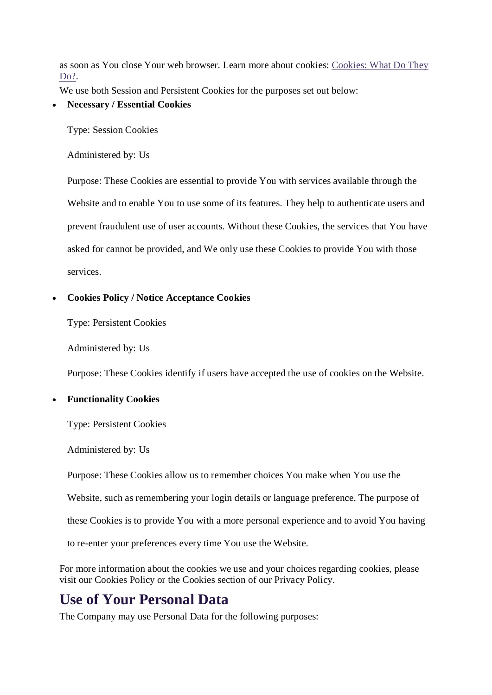as soon as You close Your web browser. Learn more about cookies: [Cookies: What Do They](https://www.freeprivacypolicy.com/blog/cookies/)  [Do?.](https://www.freeprivacypolicy.com/blog/cookies/)

We use both Session and Persistent Cookies for the purposes set out below:

**Necessary / Essential Cookies**

Type: Session Cookies

Administered by: Us

Purpose: These Cookies are essential to provide You with services available through the Website and to enable You to use some of its features. They help to authenticate users and prevent fraudulent use of user accounts. Without these Cookies, the services that You have asked for cannot be provided, and We only use these Cookies to provide You with those services.

#### **Cookies Policy / Notice Acceptance Cookies**

Type: Persistent Cookies

Administered by: Us

Purpose: These Cookies identify if users have accepted the use of cookies on the Website.

#### **Functionality Cookies**

Type: Persistent Cookies

Administered by: Us

Purpose: These Cookies allow us to remember choices You make when You use the Website, such as remembering your login details or language preference. The purpose of these Cookies is to provide You with a more personal experience and to avoid You having to re-enter your preferences every time You use the Website.

For more information about the cookies we use and your choices regarding cookies, please visit our Cookies Policy or the Cookies section of our Privacy Policy.

## **Use of Your Personal Data**

The Company may use Personal Data for the following purposes: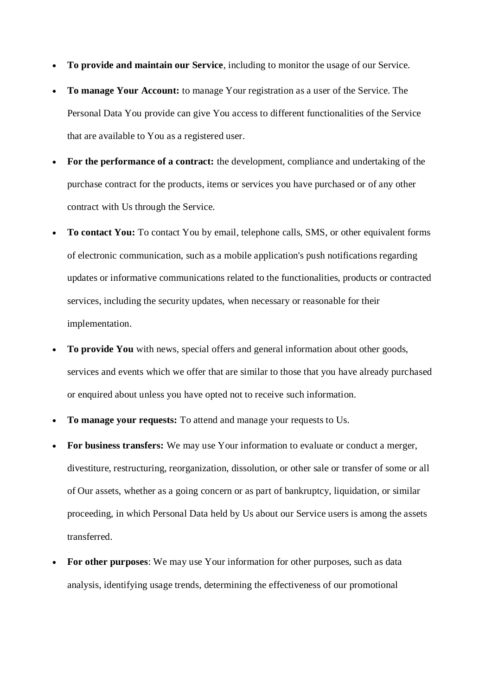- **To provide and maintain our Service**, including to monitor the usage of our Service.
- **To manage Your Account:** to manage Your registration as a user of the Service. The Personal Data You provide can give You access to different functionalities of the Service that are available to You as a registered user.
- **For the performance of a contract:** the development, compliance and undertaking of the purchase contract for the products, items or services you have purchased or of any other contract with Us through the Service.
- **To contact You:** To contact You by email, telephone calls, SMS, or other equivalent forms of electronic communication, such as a mobile application's push notifications regarding updates or informative communications related to the functionalities, products or contracted services, including the security updates, when necessary or reasonable for their implementation.
- **To provide You** with news, special offers and general information about other goods, services and events which we offer that are similar to those that you have already purchased or enquired about unless you have opted not to receive such information.
- **To manage your requests:** To attend and manage your requests to Us.
- **For business transfers:** We may use Your information to evaluate or conduct a merger, divestiture, restructuring, reorganization, dissolution, or other sale or transfer of some or all of Our assets, whether as a going concern or as part of bankruptcy, liquidation, or similar proceeding, in which Personal Data held by Us about our Service users is among the assets transferred.
- **For other purposes**: We may use Your information for other purposes, such as data analysis, identifying usage trends, determining the effectiveness of our promotional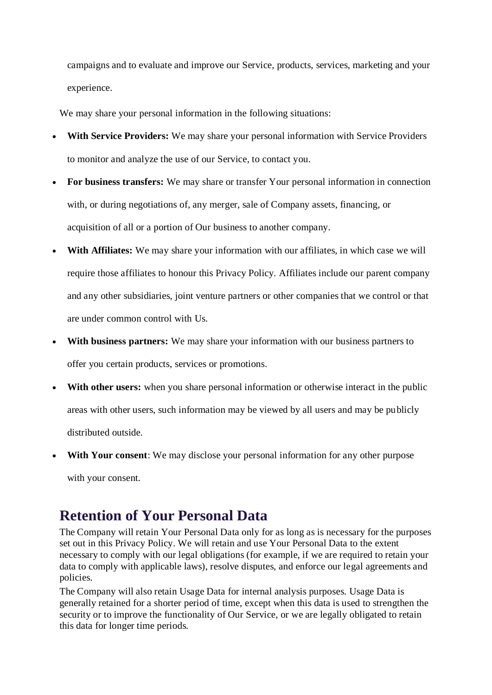campaigns and to evaluate and improve our Service, products, services, marketing and your experience.

We may share your personal information in the following situations:

- **With Service Providers:** We may share your personal information with Service Providers to monitor and analyze the use of our Service, to contact you.
- **For business transfers:** We may share or transfer Your personal information in connection with, or during negotiations of, any merger, sale of Company assets, financing, or acquisition of all or a portion of Our business to another company.
- **With Affiliates:** We may share your information with our affiliates, in which case we will require those affiliates to honour this Privacy Policy. Affiliates include our parent company and any other subsidiaries, joint venture partners or other companies that we control or that are under common control with Us.
- **With business partners:** We may share your information with our business partners to offer you certain products, services or promotions.
- **With other users:** when you share personal information or otherwise interact in the public areas with other users, such information may be viewed by all users and may be publicly distributed outside.
- **With Your consent**: We may disclose your personal information for any other purpose

with your consent.

## **Retention of Your Personal Data**

The Company will retain Your Personal Data only for as long as is necessary for the purposes set out in this Privacy Policy. We will retain and use Your Personal Data to the extent necessary to comply with our legal obligations (for example, if we are required to retain your data to comply with applicable laws), resolve disputes, and enforce our legal agreements and policies.

The Company will also retain Usage Data for internal analysis purposes. Usage Data is generally retained for a shorter period of time, except when this data is used to strengthen the security or to improve the functionality of Our Service, or we are legally obligated to retain this data for longer time periods.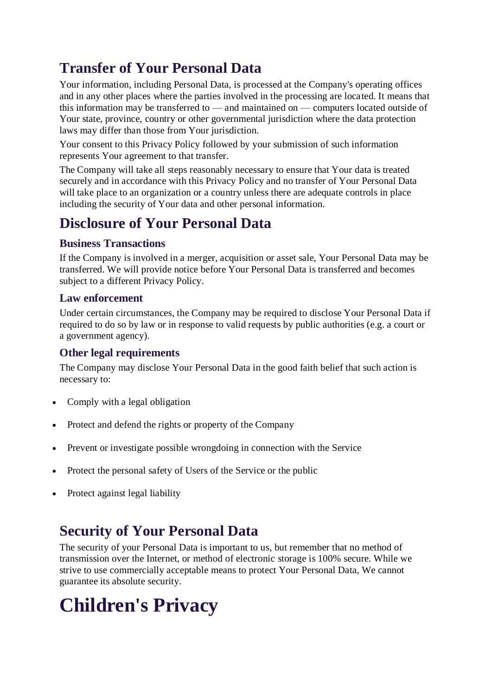## **Transfer of Your Personal Data**

Your information, including Personal Data, is processed at the Company's operating offices and in any other places where the parties involved in the processing are located. It means that this information may be transferred to — and maintained on — computers located outside of Your state, province, country or other governmental jurisdiction where the data protection laws may differ than those from Your jurisdiction.

Your consent to this Privacy Policy followed by your submission of such information represents Your agreement to that transfer.

The Company will take all steps reasonably necessary to ensure that Your data is treated securely and in accordance with this Privacy Policy and no transfer of Your Personal Data will take place to an organization or a country unless there are adequate controls in place including the security of Your data and other personal information.

## **Disclosure of Your Personal Data**

#### **Business Transactions**

If the Company is involved in a merger, acquisition or asset sale, Your Personal Data may be transferred. We will provide notice before Your Personal Data is transferred and becomes subject to a different Privacy Policy.

## **Law enforcement**

Under certain circumstances, the Company may be required to disclose Your Personal Data if required to do so by law or in response to valid requests by public authorities (e.g. a court or a government agency).

### **Other legal requirements**

The Company may disclose Your Personal Data in the good faith belief that such action is necessary to:

- Comply with a legal obligation
- Protect and defend the rights or property of the Company
- Prevent or investigate possible wrongdoing in connection with the Service
- Protect the personal safety of Users of the Service or the public
- Protect against legal liability

## **Security of Your Personal Data**

The security of your Personal Data is important to us, but remember that no method of transmission over the Internet, or method of electronic storage is 100% secure. While we strive to use commercially acceptable means to protect Your Personal Data, We cannot guarantee its absolute security.

# **Children's Privacy**